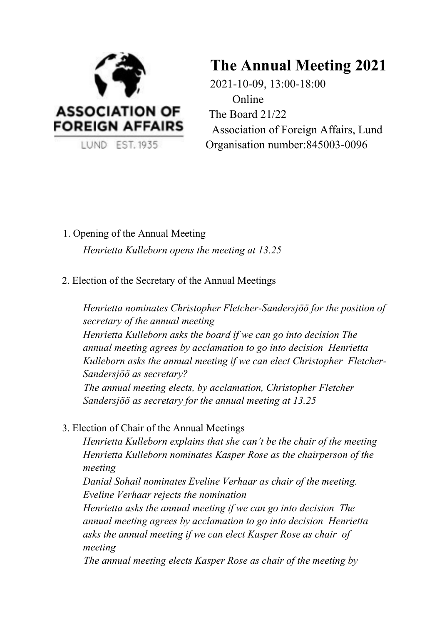

# **The Annual Meeting 2021**

2021-10-09, 13:00-18:00 Online The Board 21/22 Association of Foreign Affairs, Lund Organisation number:845003-0096

- 1. Opening of the Annual Meeting *Henrietta Kulleborn opens the meeting at 13.25*
- 2. Election of the Secretary of the Annual Meetings

*Henrietta nominates Christopher Fletcher-Sandersjöö for the position of secretary of the annual meeting Henrietta Kulleborn asks the board if we can go into decision The annual meeting agrees by acclamation to go into decision Henrietta Kulleborn asks the annual meeting if we can elect Christopher Fletcher-Sandersjöö as secretary? The annual meeting elects, by acclamation, Christopher Fletcher Sandersjöö as secretary for the annual meeting at 13.25* 

3. Election of Chair of the Annual Meetings

*Henrietta Kulleborn explains that she can't be the chair of the meeting Henrietta Kulleborn nominates Kasper Rose as the chairperson of the meeting* 

*Danial Sohail nominates Eveline Verhaar as chair of the meeting. Eveline Verhaar rejects the nomination* 

*Henrietta asks the annual meeting if we can go into decision The annual meeting agrees by acclamation to go into decision Henrietta asks the annual meeting if we can elect Kasper Rose as chair of meeting*

*The annual meeting elects Kasper Rose as chair of the meeting by*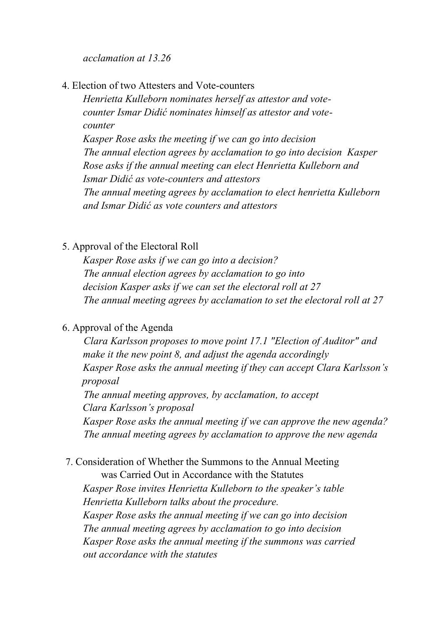*acclamation at 13.26* 

4. Election of two Attesters and Vote-counters

*Henrietta Kulleborn nominates herself as attestor and vote*counter Ismar Didić nominates himself as attestor and vote*counter Kasper Rose asks the meeting if we can go into decision The annual election agrees by acclamation to go into decision Kasper Rose asks if the annual meeting can elect Henrietta Kulleborn and <u>Ismar Didić as vote-counters and attestors</u> The annual meeting agrees by acclamation to elect henrietta Kulleborn and Ismar Didić as vote counters and attestors* 

## 5. Approval of the Electoral Roll

*Kasper Rose asks if we can go into a decision? The annual election agrees by acclamation to go into decision Kasper asks if we can set the electoral roll at 27 The annual meeting agrees by acclamation to set the electoral roll at 27* 

## 6. Approval of the Agenda

*Clara Karlsson proposes to move point 17.1 "Election of Auditor" and make it the new point 8, and adjust the agenda accordingly Kasper Rose asks the annual meeting if they can accept Clara Karlsson's proposal The annual meeting approves, by acclamation, to accept Clara Karlsson's proposal Kasper Rose asks the annual meeting if we can approve the new agenda? The annual meeting agrees by acclamation to approve the new agenda* 

7. Consideration of Whether the Summons to the Annual Meeting was Carried Out in Accordance with the Statutes

*Kasper Rose invites Henrietta Kulleborn to the speaker's table Henrietta Kulleborn talks about the procedure. Kasper Rose asks the annual meeting if we can go into decision The annual meeting agrees by acclamation to go into decision Kasper Rose asks the annual meeting if the summons was carried out accordance with the statutes*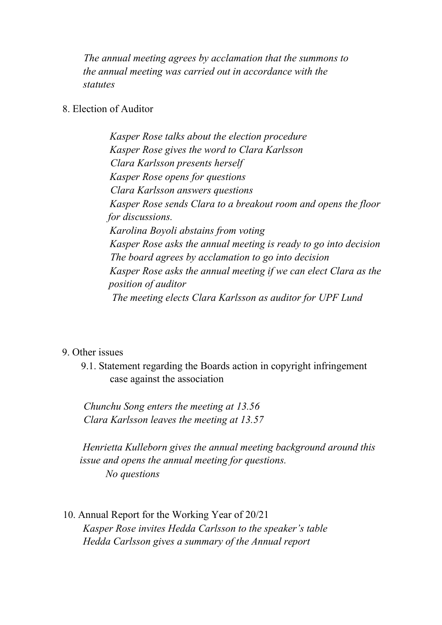*The annual meeting agrees by acclamation that the summons to the annual meeting was carried out in accordance with the statutes*

#### 8. Election of Auditor

*Kasper Rose talks about the election procedure Kasper Rose gives the word to Clara Karlsson Clara Karlsson presents herself Kasper Rose opens for questions Clara Karlsson answers questions Kasper Rose sends Clara to a breakout room and opens the floor for discussions. Karolina Boyoli abstains from voting Kasper Rose asks the annual meeting is ready to go into decision The board agrees by acclamation to go into decision Kasper Rose asks the annual meeting if we can elect Clara as the position of auditor The meeting elects Clara Karlsson as auditor for UPF Lund* 

#### 9. Other issues

9.1. Statement regarding the Boards action in copyright infringement case against the association

*Chunchu Song enters the meeting at 13.56 Clara Karlsson leaves the meeting at 13.57* 

*Henrietta Kulleborn gives the annual meeting background around this issue and opens the annual meeting for questions. No questions* 

10. Annual Report for the Working Year of 20/21 *Kasper Rose invites Hedda Carlsson to the speaker's table Hedda Carlsson gives a summary of the Annual report*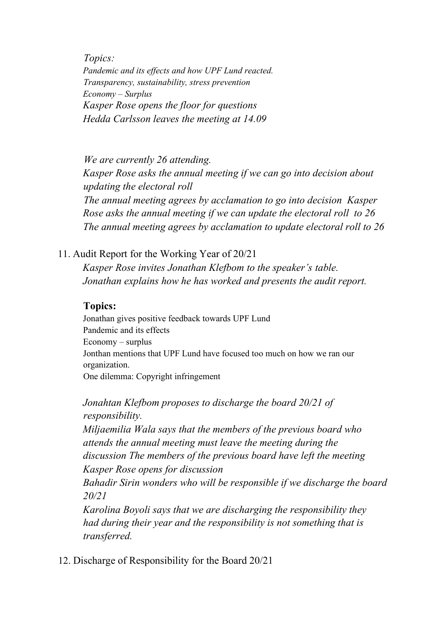*Topics: Pandemic and its effects and how UPF Lund reacted. Transparency, sustainability, stress prevention Economy ± Surplus Kasper Rose opens the floor for questions Hedda Carlsson leaves the meeting at 14.09* 

*We are currently 26 attending. Kasper Rose asks the annual meeting if we can go into decision about updating the electoral roll The annual meeting agrees by acclamation to go into decision Kasper Rose asks the annual meeting if we can update the electoral roll to 26 The annual meeting agrees by acclamation to update electoral roll to 26* 

## 11. Audit Report for the Working Year of 20/21

*Kasper Rose invites Jonathan Klefbom to the speaker's table. Jonathan explains how he has worked and presents the audit report.* 

## **Topics:**

Jonathan gives positive feedback towards UPF Lund Pandemic and its effects  $E_{\text{conomy}} - \text{surplus}$ Jonthan mentions that UPF Lund have focused too much on how we ran our organization. One dilemma: Copyright infringement

*Jonahtan Klefbom proposes to discharge the board 20/21 of responsibility.* 

*Miljaemilia Wala says that the members of the previous board who attends the annual meeting must leave the meeting during the discussion The members of the previous board have left the meeting Kasper Rose opens for discussion* 

*Bahadir Sirin wonders who will be responsible if we discharge the board 20/21* 

*Karolina Boyoli says that we are discharging the responsibility they had during their year and the responsibility is not something that is transferred.* 

12. Discharge of Responsibility for the Board 20/21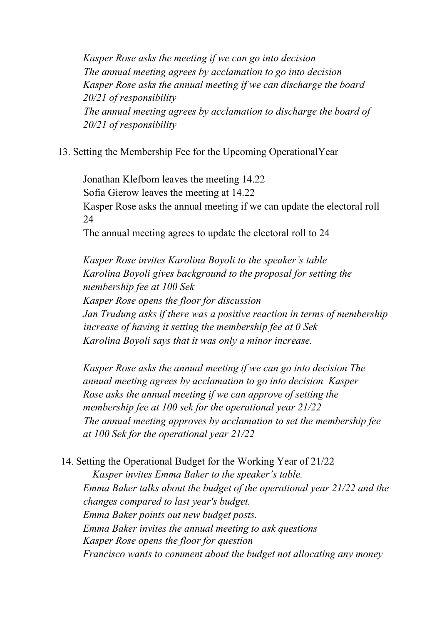*Kasper Rose asks the meeting if we can go into decision The annual meeting agrees by acclamation to go into decision Kasper Rose asks the annual meeting if we can discharge the board 20/21 of responsibility The annual meeting agrees by acclamation to discharge the board of 20/21 of responsibility* 

#### 13. Setting the Membership Fee for the Upcoming OperationalYear

Jonathan Klefbom leaves the meeting 14.22 Sofia Gierow leaves the meeting at 14.22 Kasper Rose asks the annual meeting if we can update the electoral roll 24 The annual meeting agrees to update the electoral roll to 24

*Kasper Rose invites Karolina Boyoli to the speaker's table Karolina Boyoli gives background to the proposal for setting the membership fee at 100 Sek Kasper Rose opens the floor for discussion Jan Trudung asks if there was a positive reaction in terms of membership increase of having it setting the membership fee at 0 Sek Karolina Boyoli says that it was only a minor increase.* 

*Kasper Rose asks the annual meeting if we can go into decision The annual meeting agrees by acclamation to go into decision Kasper Rose asks the annual meeting if we can approve of setting the membership fee at 100 sek for the operational year 21/22 The annual meeting approves by acclamation to set the membership fee at 100 Sek for the operational year 21/22* 

#### 14. Setting the Operational Budget for the Working Year of 21/22

*Kasper invites Emma Baker to the speaker's table. Emma Baker talks about the budget of the operational year 21/22 and the changes compared to last year's budget. Emma Baker points out new budget posts. Emma Baker invites the annual meeting to ask questions Kasper Rose opens the floor for question Francisco wants to comment about the budget not allocating any money*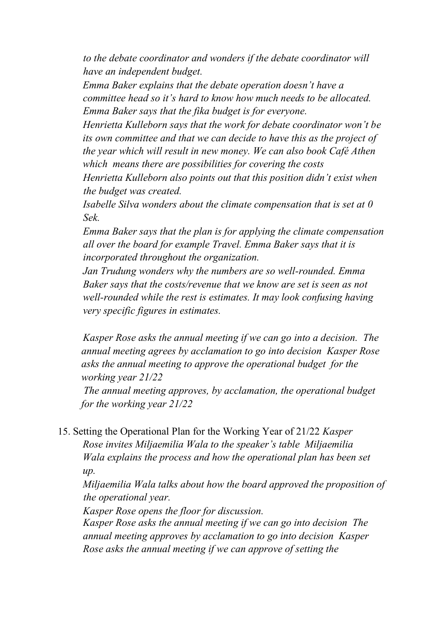*to the debate coordinator and wonders if the debate coordinator will have an independent budget.* 

*Emma Baker explains that the debate operation doesn't have a committee head so it's hard to know how much needs to be allocated. Emma Baker says that the fika budget is for everyone.* 

*Henrietta Kulleborn says that the work for debate coordinator won't be its own committee and that we can decide to have this as the project of the year which will result in new money. We can also book Café Athen which means there are possibilities for covering the costs* 

*Henrietta Kulleborn also points out that this position didn't exist when the budget was created.* 

*Isabelle Silva wonders about the climate compensation that is set at 0 Sek.* 

*Emma Baker says that the plan is for applying the climate compensation all over the board for example Travel. Emma Baker says that it is incorporated throughout the organization.* 

*Jan Trudung wonders why the numbers are so well-rounded. Emma Baker says that the costs/revenue that we know are set is seen as not well-rounded while the rest is estimates. It may look confusing having very specific figures in estimates.* 

*Kasper Rose asks the annual meeting if we can go into a decision. The annual meeting agrees by acclamation to go into decision Kasper Rose asks the annual meeting to approve the operational budget for the working year 21/22* 

*The annual meeting approves, by acclamation, the operational budget for the working year 21/22* 

15. Setting the Operational Plan for the Working Year of 21/22 *Kasper Rose invites Miljaemilia Wala to the speaker's table Miljaemilia Wala explains the process and how the operational plan has been set up.* 

*Miljaemilia Wala talks about how the board approved the proposition of the operational year.* 

*Kasper Rose opens the floor for discussion.* 

*Kasper Rose asks the annual meeting if we can go into decision The annual meeting approves by acclamation to go into decision Kasper Rose asks the annual meeting if we can approve of setting the*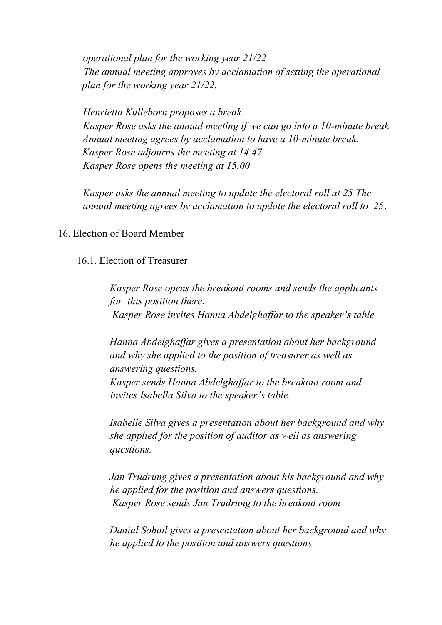*operational plan for the working year 21/22 The annual meeting approves by acclamation of setting the operational plan for the working year 21/22.* 

*Henrietta Kulleborn proposes a break. Kasper Rose asks the annual meeting if we can go into a 10-minute break Annual meeting agrees by acclamation to have a 10-minute break. Kasper Rose adjourns the meeting at 14.47 Kasper Rose opens the meeting at 15.00* 

*Kasper asks the annual meeting to update the electoral roll at 25 The annual meeting agrees by acclamation to update the electoral roll to 25*.

#### 16. Election of Board Member

#### 16.1. Election of Treasurer

*Kasper Rose opens the breakout rooms and sends the applicants for this position there. Kasper Rose invites Hanna Abdelghaffar to the speaker's table* 

*Hanna Abdelghaffar gives a presentation about her background and why she applied to the position of treasurer as well as answering questions.* 

*Kasper sends Hanna Abdelghaffar to the breakout room and invites Isabella Silva to the speaker's table.* 

*Isabelle Silva gives a presentation about her background and why she applied for the position of auditor as well as answering questions.* 

*Jan Trudrung gives a presentation about his background and why he applied for the position and answers questions. Kasper Rose sends Jan Trudrung to the breakout room* 

*Danial Sohail gives a presentation about her background and why he applied to the position and answers questions*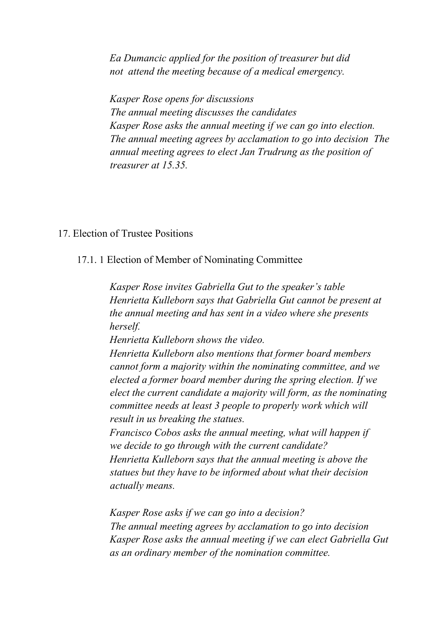*Ea Dumancic applied for the position of treasurer but did not attend the meeting because of a medical emergency.* 

*Kasper Rose opens for discussions The annual meeting discusses the candidates Kasper Rose asks the annual meeting if we can go into election. The annual meeting agrees by acclamation to go into decision The annual meeting agrees to elect Jan Trudrung as the position of treasurer at 15.35.* 

## 17. Election of Trustee Positions

17.1. 1 Election of Member of Nominating Committee

*Kasper Rose invites Gabriella Gut to the speaker's table Henrietta Kulleborn says that Gabriella Gut cannot be present at the annual meeting and has sent in a video where she presents herself.* 

*Henrietta Kulleborn shows the video.* 

*Henrietta Kulleborn also mentions that former board members cannot form a majority within the nominating committee, and we elected a former board member during the spring election. If we elect the current candidate a majority will form, as the nominating committee needs at least 3 people to properly work which will result in us breaking the statues.* 

*Francisco Cobos asks the annual meeting, what will happen if we decide to go through with the current candidate? Henrietta Kulleborn says that the annual meeting is above the statues but they have to be informed about what their decision actually means.* 

*Kasper Rose asks if we can go into a decision? The annual meeting agrees by acclamation to go into decision Kasper Rose asks the annual meeting if we can elect Gabriella Gut as an ordinary member of the nomination committee.*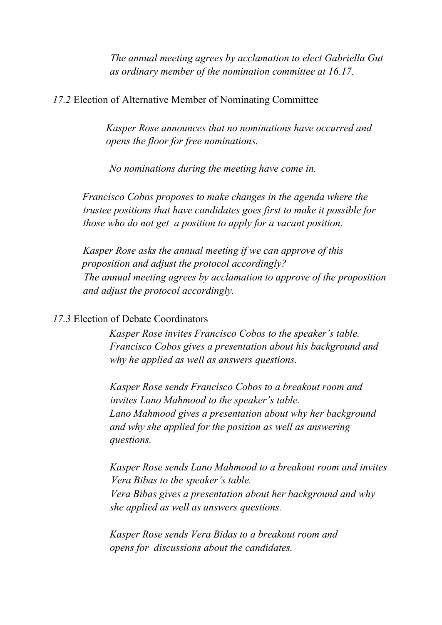*The annual meeting agrees by acclamation to elect Gabriella Gut as ordinary member of the nomination committee at 16.17.* 

## *17.2* Election of Alternative Member of Nominating Committee

*Kasper Rose announces that no nominations have occurred and opens the floor for free nominations.* 

*No nominations during the meeting have come in.* 

*Francisco Cobos proposes to make changes in the agenda where the trustee positions that have candidates goes first to make it possible for those who do not get a position to apply for a vacant position.* 

*Kasper Rose asks the annual meeting if we can approve of this proposition and adjust the protocol accordingly? The annual meeting agrees by acclamation to approve of the proposition and adjust the protocol accordingly.* 

## *17.3* Election of Debate Coordinators

*Kasper Rose invites Francisco Cobos to the speaker's table. Francisco Cobos gives a presentation about his background and why he applied as well as answers questions.* 

*Kasper Rose sends Francisco Cobos to a breakout room and Lano Mahmood to the speaker's table. Lano Mahmood gives a presentation about why her background and why she applied for the position as well as answering questions.* 

*Kasper Rose sends Lano Mahmood to a breakout room and invites Vera Bibas to the speaker's table.* 

*Vera Bibas gives a presentation about her background and why she applied as well as answers questions.* 

*Kasper Rose sends Vera Bidas to a breakout room and opens for discussions about the candidates.*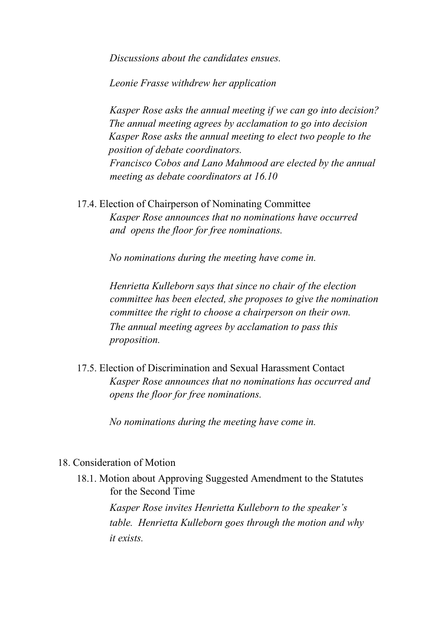*Discussions about the candidates ensues.* 

*Leonie Frasse withdrew her application*

*Kasper Rose asks the annual meeting if we can go into decision? The annual meeting agrees by acclamation to go into decision Kasper Rose asks the annual meeting to elect two people to the position of debate coordinators. Francisco Cobos and Lano Mahmood are elected by the annual meeting as debate coordinators at 16.10* 

17.4. Election of Chairperson of Nominating Committee *Kasper Rose announces that no nominations have occurred and opens the floor for free nominations.* 

*No nominations during the meeting have come in.* 

*Henrietta Kulleborn says that since no chair of the election committee has been elected, she proposes to give the nomination committee the right to choose a chairperson on their own. The annual meeting agrees by acclamation to pass this proposition.* 

17.5. Election of Discrimination and Sexual Harassment Contact *Kasper Rose announces that no nominations has occurred and opens the floor for free nominations.* 

*No nominations during the meeting have come in.* 

- 18. Consideration of Motion
	- 18.1. Motion about Approving Suggested Amendment to the Statutes for the Second Time

Kasper Rose invites Henrietta Kulleborn to the speaker's *table. Henrietta Kulleborn goes through the motion and why it exists.*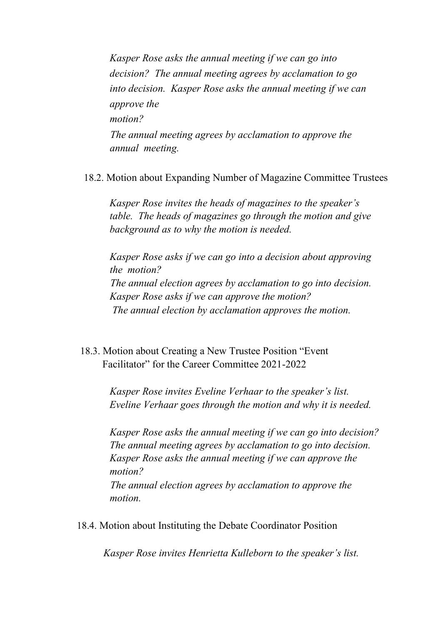*Kasper Rose asks the annual meeting if we can go into decision? The annual meeting agrees by acclamation to go into decision. Kasper Rose asks the annual meeting if we can approve the motion? The annual meeting agrees by acclamation to approve the annual meeting.* 

18.2. Motion about Expanding Number of Magazine Committee Trustees

*Kasper Rose invites the heads of magazines to the speaker's table. The heads of magazines go through the motion and give background as to why the motion is needed.* 

*Kasper Rose asks if we can go into a decision about approving the motion? The annual election agrees by acclamation to go into decision. Kasper Rose asks if we can approve the motion? The annual election by acclamation approves the motion.* 

18.3. Motion about Creating a New Trustee Position "Event" Facilitator" for the Career Committee 2021-2022

> *Kasper Rose invites Eveline Verhaar to the speaker's list. Eveline Verhaar goes through the motion and why it is needed.*

*Kasper Rose asks the annual meeting if we can go into decision? The annual meeting agrees by acclamation to go into decision. Kasper Rose asks the annual meeting if we can approve the motion? The annual election agrees by acclamation to approve the* 

18.4. Motion about Instituting the Debate Coordinator Position

*motion.* 

*Kasper Rose invites Henrietta Kulleborn to the speaker's list.*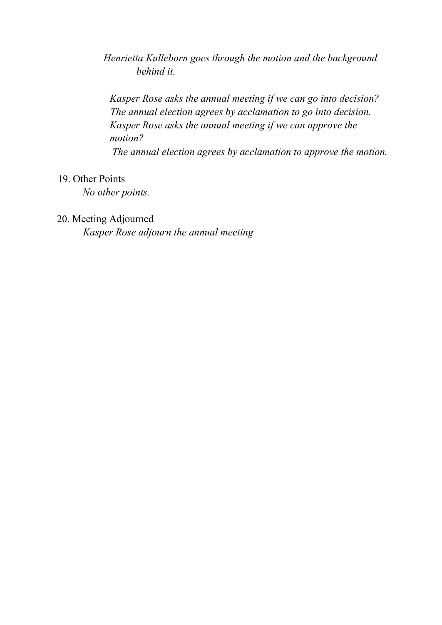*Henrietta Kulleborn goes through the motion and the background behind it.* 

*Kasper Rose asks the annual meeting if we can go into decision? The annual election agrees by acclamation to go into decision. Kasper Rose asks the annual meeting if we can approve the motion?* 

*The annual election agrees by acclamation to approve the motion.* 

19. Other Points

*No other points.* 

## 20. Meeting Adjourned

*Kasper Rose adjourn the annual meeting*